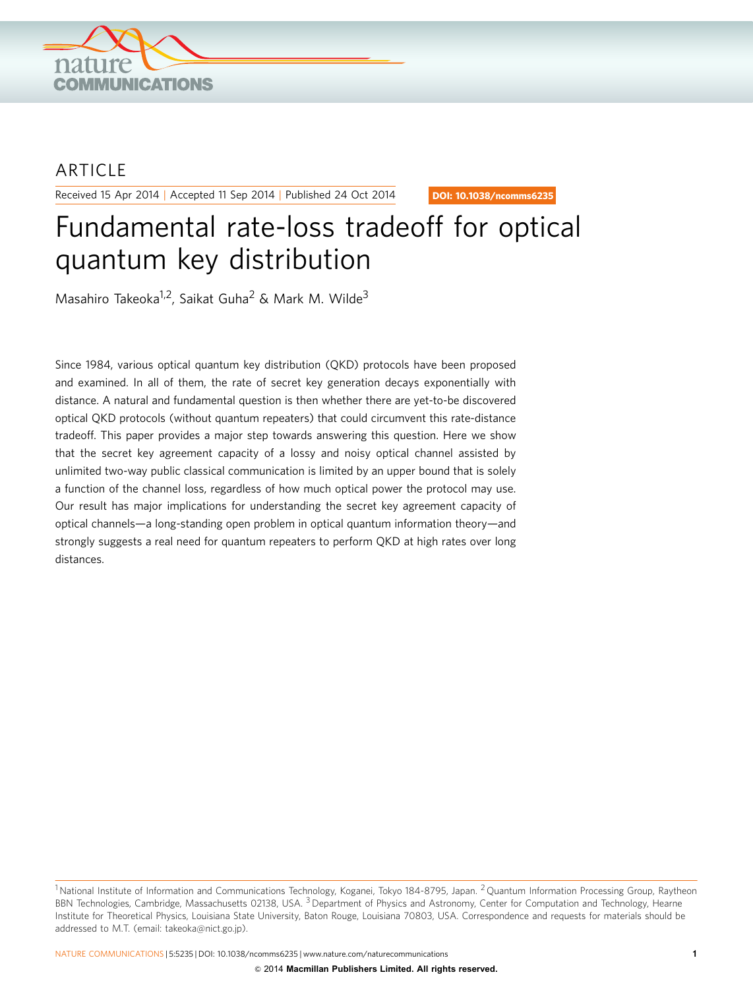

# **ARTICLE**

Received 15 Apr 2014 | Accepted 11 Sep 2014 | Published 24 Oct 2014

DOI: 10.1038/ncomms6235

# Fundamental rate-loss tradeoff for optical quantum key distribution

Masahiro Takeoka<sup>1,2</sup>, Saikat Guha<sup>2</sup> & Mark M. Wilde<sup>3</sup>

Since 1984, various optical quantum key distribution (QKD) protocols have been proposed and examined. In all of them, the rate of secret key generation decays exponentially with distance. A natural and fundamental question is then whether there are yet-to-be discovered optical QKD protocols (without quantum repeaters) that could circumvent this rate-distance tradeoff. This paper provides a major step towards answering this question. Here we show that the secret key agreement capacity of a lossy and noisy optical channel assisted by unlimited two-way public classical communication is limited by an upper bound that is solely a function of the channel loss, regardless of how much optical power the protocol may use. Our result has major implications for understanding the secret key agreement capacity of optical channels—a long-standing open problem in optical quantum information theory—and strongly suggests a real need for quantum repeaters to perform QKD at high rates over long distances.

<sup>&</sup>lt;sup>1</sup> National Institute of Information and Communications Technology, Koganei, Tokyo 184-8795, Japan. <sup>2</sup> Quantum Information Processing Group, Raytheon BBN Technologies, Cambridge, Massachusetts 02138, USA. <sup>3</sup> Department of Physics and Astronomy, Center for Computation and Technology, Hearne Institute for Theoretical Physics, Louisiana State University, Baton Rouge, Louisiana 70803, USA. Correspondence and requests for materials should be addressed to M.T. (email: [takeoka@nict.go.jp](mailto:takeoka@nict.go.jp)).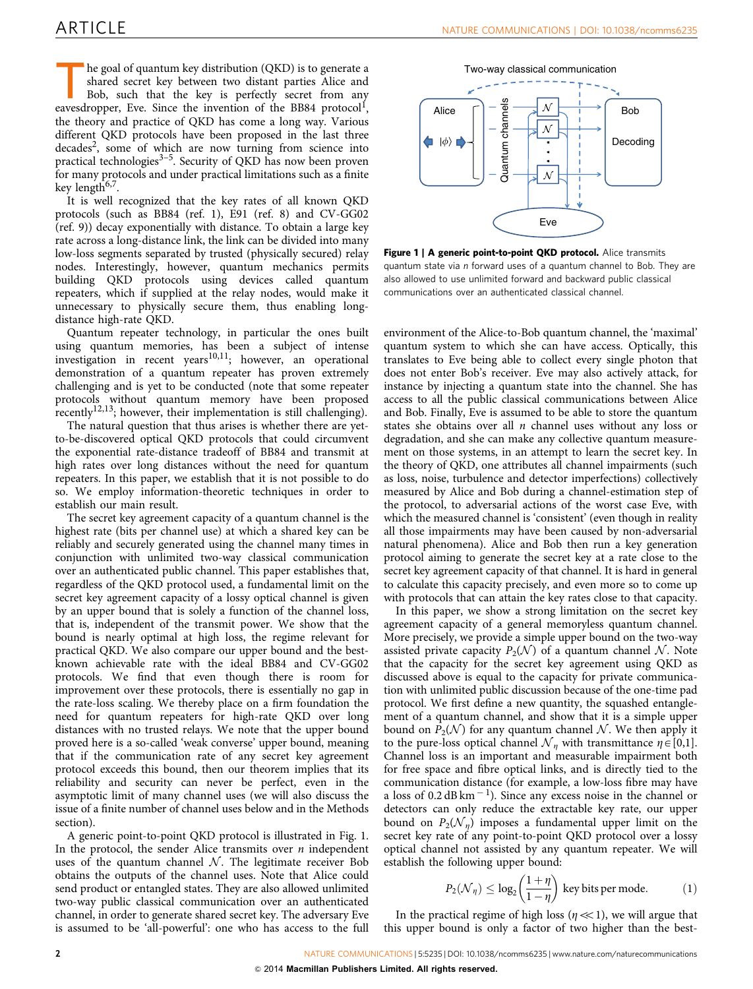he goal of quantum key distribution (QKD) is to generate a shared secret key between two distant parties Alice and Bob, such that the key is perfectly secret from any eavesdropper, Eve. Since the invention of the BB84 protocol<sup>1</sup>, the theory and practice of QKD has come a long way. Various different QKD protocols have been proposed in the last three  $decades<sup>2</sup>$  $decades<sup>2</sup>$  $decades<sup>2</sup>$ , some of which are now turning from science into practical technologies $3-5$ . Security of QKD has now been proven for many protocols and under practical limitations such as a finite key length $6,7$ .

It is well recognized that the key rates of all known QKD protocols (such as BB84 ([ref. 1](#page-5-0)), E91 [\(ref. 8\)](#page-5-0) and CV-GG02 ([ref. 9\)](#page-5-0)) decay exponentially with distance. To obtain a large key rate across a long-distance link, the link can be divided into many low-loss segments separated by trusted (physically secured) relay nodes. Interestingly, however, quantum mechanics permits building QKD protocols using devices called quantum repeaters, which if supplied at the relay nodes, would make it unnecessary to physically secure them, thus enabling longdistance high-rate QKD.

Quantum repeater technology, in particular the ones built using quantum memories, has been a subject of intense investigation in recent years<sup>10,11</sup>; however, an operational demonstration of a quantum repeater has proven extremely challenging and is yet to be conducted (note that some repeater protocols without quantum memory have been proposed  $r$ ecently<sup>12,13</sup>; however, their implementation is still challenging).

The natural question that thus arises is whether there are yetto-be-discovered optical QKD protocols that could circumvent the exponential rate-distance tradeoff of BB84 and transmit at high rates over long distances without the need for quantum repeaters. In this paper, we establish that it is not possible to do so. We employ information-theoretic techniques in order to establish our main result.

The secret key agreement capacity of a quantum channel is the highest rate (bits per channel use) at which a shared key can be reliably and securely generated using the channel many times in conjunction with unlimited two-way classical communication over an authenticated public channel. This paper establishes that, regardless of the QKD protocol used, a fundamental limit on the secret key agreement capacity of a lossy optical channel is given by an upper bound that is solely a function of the channel loss, that is, independent of the transmit power. We show that the bound is nearly optimal at high loss, the regime relevant for practical QKD. We also compare our upper bound and the bestknown achievable rate with the ideal BB84 and CV-GG02 protocols. We find that even though there is room for improvement over these protocols, there is essentially no gap in the rate-loss scaling. We thereby place on a firm foundation the need for quantum repeaters for high-rate QKD over long distances with no trusted relays. We note that the upper bound proved here is a so-called 'weak converse' upper bound, meaning that if the communication rate of any secret key agreement protocol exceeds this bound, then our theorem implies that its reliability and security can never be perfect, even in the asymptotic limit of many channel uses (we will also discuss the issue of a finite number of channel uses below and in the Methods section).

A generic point-to-point QKD protocol is illustrated in Fig. 1. In the protocol, the sender Alice transmits over  $n$  independent uses of the quantum channel  $N$ . The legitimate receiver Bob obtains the outputs of the channel uses. Note that Alice could send product or entangled states. They are also allowed unlimited two-way public classical communication over an authenticated channel, in order to generate shared secret key. The adversary Eve is assumed to be 'all-powerful': one who has access to the full



Figure 1 | A generic point-to-point QKD protocol. Alice transmits quantum state via n forward uses of a quantum channel to Bob. They are also allowed to use unlimited forward and backward public classical communications over an authenticated classical channel.

environment of the Alice-to-Bob quantum channel, the 'maximal' quantum system to which she can have access. Optically, this translates to Eve being able to collect every single photon that does not enter Bob's receiver. Eve may also actively attack, for instance by injecting a quantum state into the channel. She has access to all the public classical communications between Alice and Bob. Finally, Eve is assumed to be able to store the quantum states she obtains over all  $n$  channel uses without any loss or degradation, and she can make any collective quantum measurement on those systems, in an attempt to learn the secret key. In the theory of QKD, one attributes all channel impairments (such as loss, noise, turbulence and detector imperfections) collectively measured by Alice and Bob during a channel-estimation step of the protocol, to adversarial actions of the worst case Eve, with which the measured channel is 'consistent' (even though in reality all those impairments may have been caused by non-adversarial natural phenomena). Alice and Bob then run a key generation protocol aiming to generate the secret key at a rate close to the secret key agreement capacity of that channel. It is hard in general to calculate this capacity precisely, and even more so to come up with protocols that can attain the key rates close to that capacity.

In this paper, we show a strong limitation on the secret key agreement capacity of a general memoryless quantum channel. More precisely, we provide a simple upper bound on the two-way assisted private capacity  $P_2(\mathcal{N})$  of a quantum channel N. Note that the capacity for the secret key agreement using QKD as discussed above is equal to the capacity for private communication with unlimited public discussion because of the one-time pad protocol. We first define a new quantity, the squashed entanglement of a quantum channel, and show that it is a simple upper bound on  $P_2(\mathcal{N})$  for any quantum channel N. We then apply it to the pure-loss optical channel  $\mathcal{N}_n$  with transmittance  $\eta \in [0,1]$ . Channel loss is an important and measurable impairment both for free space and fibre optical links, and is directly tied to the communication distance (for example, a low-loss fibre may have a loss of 0.2 dB km<sup> $-1$ </sup>). Since any excess noise in the channel or detectors can only reduce the extractable key rate, our upper bound on  $P_2(\mathcal{N}_n)$  imposes a fundamental upper limit on the secret key rate of any point-to-point QKD protocol over a lossy optical channel not assisted by any quantum repeater. We will establish the following upper bound:

$$
P_2(\mathcal{N}_{\eta}) \le \log_2 \left( \frac{1 + \eta}{1 - \eta} \right) \text{ key bits per mode.}
$$
 (1)

In the practical regime of high loss ( $\eta \ll 1$ ), we will argue that this upper bound is only a factor of two higher than the best-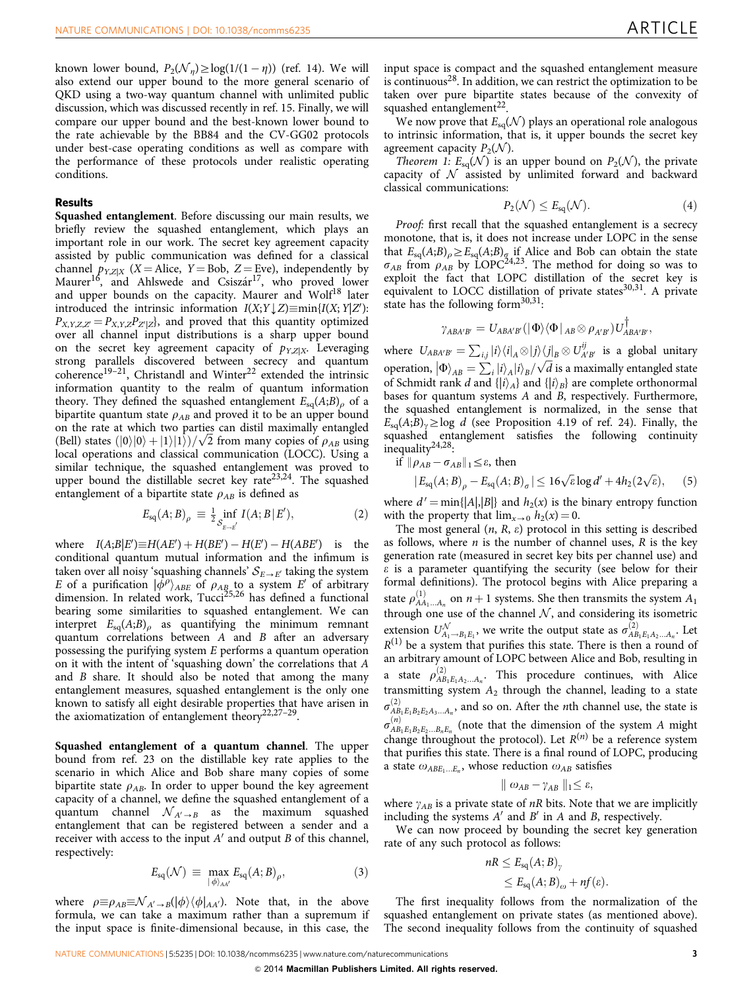known lower bound,  $P_2(\mathcal{N}_\eta) \ge \log(1/(1 - \eta))$  ([ref. 14](#page-6-0)). We will also extend our upper bound to the more general scenario of QKD using a two-way quantum channel with unlimited public discussion, which was discussed recently in [ref. 15](#page-6-0). Finally, we will compare our upper bound and the best-known lower bound to the rate achievable by the BB84 and the CV-GG02 protocols under best-case operating conditions as well as compare with the performance of these protocols under realistic operating conditions.

## Results

Squashed entanglement. Before discussing our main results, we briefly review the squashed entanglement, which plays an important role in our work. The secret key agreement capacity assisted by public communication was defined for a classical channel  $p_{Y,Z|X}$  (X = Alice, Y = Bob, Z = Eve), independently by Maurer<sup>[16](#page-6-0)</sup>, and Ahlswede and Csiszár<sup>17</sup>, who proved lower and upper bounds on the capacity. Maurer and Wolf<sup>[18](#page-6-0)</sup> later introduced the intrinsic information  $I(X;Y \downarrow Z) \equiv \min\{I(X; Y|Z')\}$ :  $P_{X,Y,Z,Z'} = P_{X,Y,Z} P_{Z'|Z}$ , and proved that this quantity optimized over all channel input distributions is a sharp upper bound on the secret key agreement capacity of  $p_{Y,Z|X}$ . Leveraging strong parallels discovered between secrecy and quantum coherence<sup>[19–21](#page-6-0)</sup>, Christandl and Winter<sup>22</sup> extended the intrinsic information quantity to the realm of quantum information theory. They defined the squashed entanglement  $E_{\rm{so}}(A;B)$ <sub>o</sub> of a bipartite quantum state  $\rho_{AB}$  and proved it to be an upper bound on the rate at which two parties can distil maximally entangled on the rate at which two parties can distil maximally entangled<br>(Bell) states  $(|0\rangle|0\rangle + |1\rangle|1\rangle)/\sqrt{2}$  from many copies of  $\rho_{AB}$  using local operations and classical communication (LOCC). Using a similar technique, the squashed entanglement was proved to upper bound the distillable secret key rate<sup>23,24</sup>. The squashed entanglement of a bipartite state  $\rho_{AB}$  is defined as

$$
E_{\text{sq}}(A;B)_{\rho} \equiv \frac{1}{2} \inf_{\mathcal{S}_{E \to E^{'}}} I(A;B|E^{'}), \qquad (2)
$$

where  $I(A;B|E') \equiv H(AE') + H(BE') - H(E') - H(ABE')$  is the conditional quantum mutual information and the infimum is taken over all noisy 'squashing channels'  $S_{E\rightarrow E}$ ' taking the system E of a purification  $|\dot{\phi}^{\rho}\rangle_{ABE}$  of  $\rho_{AB}$  to a system E' of arbitrary dimension. In related work, Tucci<sup>[25,26](#page-6-0)</sup> has defined a functional bearing some similarities to squashed entanglement. We can interpret  $E_{\text{sq}}(A;\,B)_{\rho}$  as quantifying the minimum remnant quantum correlations between A and B after an adversary possessing the purifying system E performs a quantum operation on it with the intent of 'squashing down' the correlations that A and B share. It should also be noted that among the many entanglement measures, squashed entanglement is the only one known to satisfy all eight desirable properties that have arisen in the axiomatization of entanglement theor[y22,27–29.](#page-6-0)

Squashed entanglement of a quantum channel. The upper bound from [ref. 23](#page-6-0) on the distillable key rate applies to the scenario in which Alice and Bob share many copies of some bipartite state  $\rho_{AB}$ . In order to upper bound the key agreement capacity of a channel, we define the squashed entanglement of a quantum channel  $\mathcal{N}_{A'\to B}$  as the maximum squashed entanglement that can be registered between a sender and a receiver with access to the input  $A'$  and output B of this channel, respectively:

$$
E_{\text{sq}}(\mathcal{N}) \equiv \max_{|\phi\rangle_{AA'}} E_{\text{sq}}(A;B)_{\rho}, \tag{3}
$$

where  $\rho \equiv \rho_{AB} \equiv \mathcal{N}_{A' \to B} (\vert \phi \rangle \langle \phi \vert_{AA'})$ . Note that, in the above formula, we can take a maximum rather than a supremum if the input space is finite-dimensional because, in this case, the

input space is compact and the squashed entanglement measure is continuous $^{28}$ . In addition, we can restrict the optimization to be taken over pure bipartite states because of the convexity of squashed entanglement<sup>[22](#page-6-0)</sup>.

We now prove that  $E_{\rm{so}}(\mathcal{N})$  plays an operational role analogous to intrinsic information, that is, it upper bounds the secret key agreement capacity  $P_2(\mathcal{N})$ .

Theorem 1:  $E_{\text{so}}(\mathcal{N})$  is an upper bound on  $P_2(\mathcal{N})$ , the private capacity of  $\mathcal N$  assisted by unlimited forward and backward classical communications:

$$
P_2(\mathcal{N}) \le E_{\text{sq}}(\mathcal{N}).\tag{4}
$$

Proof: first recall that the squashed entanglement is a secrecy monotone, that is, it does not increase under LOPC in the sense that  $E_{\text{sq}}(A;B)_{\rho} \geq E_{\text{sq}}(A;B)_{\sigma}$  if Alice and Bob can obtain the state  $\sigma_{AB}$  from  $\rho_{AB}$  by LOPC<sup>[24,23](#page-6-0)</sup>. The method for doing so was to exploit the fact that LOPC distillation of the secret key is equivalent to LOCC distillation of private states $30,31$ . A private state has the following form $30,31$ :

$$
\gamma_{ABA'B'}=U_{ABA'B'}(\ket{\Phi}\!\bra{\Phi}_{AB}\!\otimes\rho_{A'B'})U_{ABA'B'}^\dagger,
$$

where  $U_{ABA'B'} = \sum_{i,j} |i\rangle\langle i|_A \otimes |j\rangle\langle j|_B \otimes U_{A'B'}^{ij}$  is a global unitary operation,  $|\Phi\rangle_{AB} = \sum_i |i\rangle_A |i\rangle_B / \sqrt{d}$  is a maximally entangled state of Schmidt rank d and  $\{|i\rangle_A\}$  and  $\{|i\rangle_B\}$  are complete orthonormal bases for quantum systems A and B, respectively. Furthermore, the squashed entanglement is normalized, in the sense that  $E_{\text{sq}}(A;B)_{\gamma} \ge \log d$  (see Proposition 4.19 of [ref. 24](#page-6-0)). Finally, the squashed entanglement satisfies the following continuity inequality<sup>[24,28](#page-6-0)</sup>:

if  $\|\rho_{AB} - \sigma_{AB}\|_1 \leq \varepsilon$ , then

$$
|E_{\text{sq}}(A;B)_{\rho} - E_{\text{sq}}(A;B)_{\sigma}| \le 16\sqrt{\varepsilon} \log d' + 4h_2(2\sqrt{\varepsilon}), \quad (5)
$$

where  $d' = min\{|A|, |B|\}$  and  $h_2(x)$  is the binary entropy function with the property that  $\lim_{x\to 0} h_2(x) = 0$ .

The most general  $(n, R, \varepsilon)$  protocol in this setting is described as follows, where  $n$  is the number of channel uses,  $R$  is the key generation rate (measured in secret key bits per channel use) and  $\varepsilon$  is a parameter quantifying the security (see below for their formal definitions). The protocol begins with Alice preparing a state  $\rho_{AA_1...A_n}^{(1)}$  on  $n+1$  systems. She then transmits the system  $A_1$ through one use of the channel  $N$ , and considering its isometric extension  $U_{A_1 \to B_1 E_1}^{\mathcal{N}}$ , we write the output state as  $\sigma_{AB_1 E_1 A_2 \dots A_n}^{(2)}$ . Let  $R^{(1)}$  be a system that purifies this state. There is then a round of an arbitrary amount of LOPC between Alice and Bob, resulting in a state  $\rho_{AB_1E_1A_2...A_n}^{(2)}$ . This procedure continues, with Alice transmitting system  $A_2$  through the channel, leading to a state  $\sigma_{AB_1E_1B_2E_2A_3...A_n}^{(2)}$ , and so on. After the *n*th channel use, the state is  $\sigma_{AB_1E_1B_2E_2...B_nE_n}^{(n)}$  (note that the dimension of the system A might change throughout the protocol). Let  $R^{(n)}$  be a reference system that purifies this state. There is a final round of LOPC, producing a state  $\omega_{ABE_1...E_n}$ , whose reduction  $\omega_{AB}$  satisfies

$$
\parallel \omega_{AB} - \gamma_{AB} \parallel_1 \leq \varepsilon,
$$

where  $\gamma_{AB}$  is a private state of nR bits. Note that we are implicitly including the systems  $A'$  and  $B'$  in A and B, respectively.

We can now proceed by bounding the secret key generation rate of any such protocol as follows:

$$
nR \leq E_{\text{sq}}(A;B)_{\gamma} \leq E_{\text{sq}}(A;B)_{\omega} + nf(\varepsilon).
$$

The first inequality follows from the normalization of the squashed entanglement on private states (as mentioned above). The second inequality follows from the continuity of squashed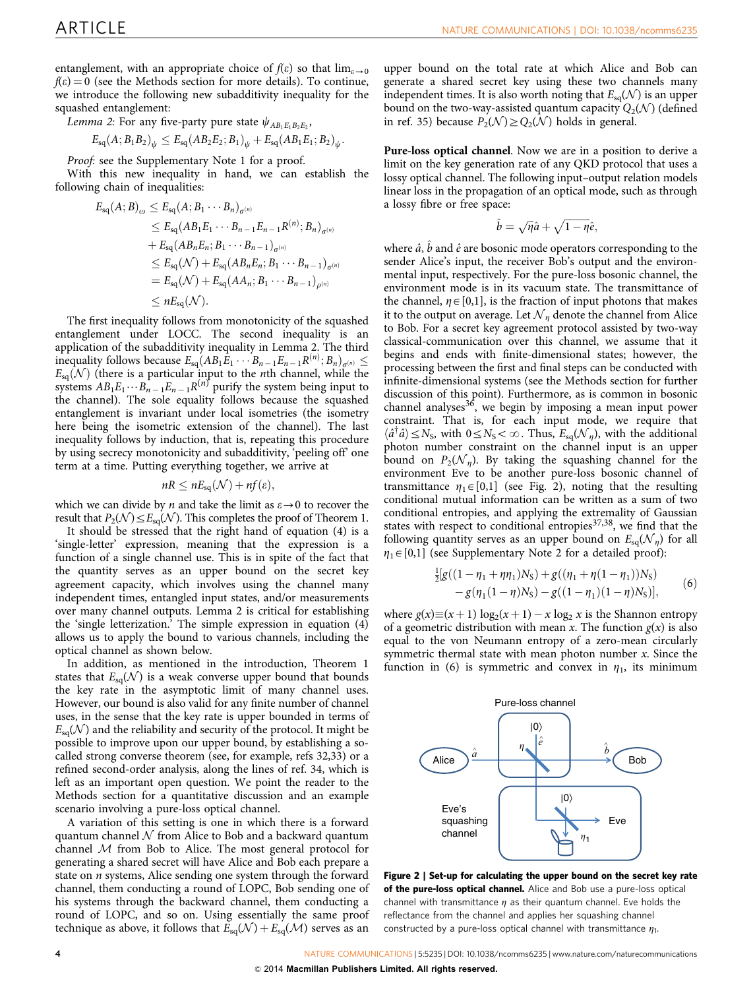<span id="page-3-0"></span>entanglement, with an appropriate choice of  $f(\varepsilon)$  so that  $\lim_{\varepsilon \to 0}$  $f(\varepsilon) = 0$  (see the Methods section for more details). To continue, we introduce the following new subadditivity inequality for the squashed entanglement:

Lemma 2: For any five-party pure state  $\psi_{AB_1E_1B_2E_2}$ ,

$$
E_{\text{sq}}(A;B_1B_2)_{\psi} \leq E_{\text{sq}}(AB_2E_2;B_1)_{\psi} + E_{\text{sq}}(AB_1E_1;B_2)_{\psi}.
$$

Proof: see the Supplementary Note 1 for a proof.

With this new inequality in hand, we can establish the following chain of inequalities:

$$
E_{sq}(A;B)_{\omega} \leq E_{sq}(A;B_{1} \cdots B_{n})_{\sigma^{(n)}}
$$
  
\n
$$
\leq E_{sq}(AB_{1}E_{1} \cdots B_{n-1}E_{n-1}R^{(n)};B_{n})_{\sigma^{(n)}}
$$
  
\n
$$
+ E_{sq}(AB_{n}E_{n};B_{1} \cdots B_{n-1})_{\sigma^{(n)}}
$$
  
\n
$$
\leq E_{sq}(\mathcal{N}) + E_{sq}(AB_{n}E_{n};B_{1} \cdots B_{n-1})_{\sigma^{(n)}}
$$
  
\n
$$
= E_{sq}(\mathcal{N}) + E_{sq}(AA_{n};B_{1} \cdots B_{n-1})_{\rho^{(n)}}
$$
  
\n
$$
\leq nE_{sq}(\mathcal{N}).
$$

The first inequality follows from monotonicity of the squashed entanglement under LOCC. The second inequality is an application of the subadditivity inequality in Lemma 2. The third inequality follows because  $E_{\rm sq}(AB_1E_1\cdots B_{n-1}E_{n-1}R^{(n)};B_n)_{\sigma^{(n)}}\leq$  $E_{sq}(\mathcal{N})$  (there is a particular input to the *n*th channel, while the systems  $AB_1E_1 \cdots B_{n-1}E_{n-1}R^{(n)}$  purify the system being input to the channel). The sole equality follows because the squashed entanglement is invariant under local isometries (the isometry here being the isometric extension of the channel). The last inequality follows by induction, that is, repeating this procedure by using secrecy monotonicity and subadditivity, 'peeling off' one term at a time. Putting everything together, we arrive at

$$
nR \leq nE_{\text{sq}}(\mathcal{N}) + n f(\varepsilon),
$$

which we can divide by *n* and take the limit as  $\varepsilon \rightarrow 0$  to recover the result that  $P_2(\mathcal{N}) \leq E_{\text{sq}}(\mathcal{N})$ . This completes the proof of Theorem 1.

It should be stressed that the right hand of equation (4) is a 'single-letter' expression, meaning that the expression is a function of a single channel use. This is in spite of the fact that the quantity serves as an upper bound on the secret key agreement capacity, which involves using the channel many independent times, entangled input states, and/or measurements over many channel outputs. Lemma 2 is critical for establishing the 'single letterization.' The simple expression in equation (4) allows us to apply the bound to various channels, including the optical channel as shown below.

In addition, as mentioned in the introduction, Theorem 1 states that  $E_{\text{sq}}(\mathcal{N})$  is a weak converse upper bound that bounds the key rate in the asymptotic limit of many channel uses. However, our bound is also valid for any finite number of channel uses, in the sense that the key rate is upper bounded in terms of  $E_{\rm{sa}}(\mathcal{N})$  and the reliability and security of the protocol. It might be possible to improve upon our upper bound, by establishing a socalled strong converse theorem (see, for example, [refs 32,33\)](#page-6-0) or a refined second-order analysis, along the lines of [ref. 34,](#page-6-0) which is left as an important open question. We point the reader to the Methods section for a quantitative discussion and an example scenario involving a pure-loss optical channel.

A variation of this setting is one in which there is a forward quantum channel  $N$  from Alice to Bob and a backward quantum channel M from Bob to Alice. The most general protocol for generating a shared secret will have Alice and Bob each prepare a state on *n* systems, Alice sending one system through the forward channel, them conducting a round of LOPC, Bob sending one of his systems through the backward channel, them conducting a round of LOPC, and so on. Using essentially the same proof technique as above, it follows that  $\widetilde{E}_{sq}(\mathcal{N}) + \widetilde{E}_{sq}(\mathcal{M})$  serves as an

upper bound on the total rate at which Alice and Bob can generate a shared secret key using these two channels many independent times. It is also worth noting that  $E_{\text{sa}}(\mathcal{N})$  is an upper bound on the two-way-assisted quantum capacity  $Q_2(\mathcal{N})$  (defined in [ref. 35\)](#page-6-0) because  $P_2(\mathcal{N}) \ge Q_2(\mathcal{N})$  holds in general.

Pure-loss optical channel. Now we are in a position to derive a limit on the key generation rate of any QKD protocol that uses a lossy optical channel. The following input–output relation models linear loss in the propagation of an optical mode, such as through a lossy fibre or free space:

$$
\hat{b} = \sqrt{\eta} \hat{a} + \sqrt{1 - \eta} \hat{e},
$$

where  $\hat{a}$ ,  $\hat{b}$  and  $\hat{e}$  are bosonic mode operators corresponding to the sender Alice's input, the receiver Bob's output and the environmental input, respectively. For the pure-loss bosonic channel, the environment mode is in its vacuum state. The transmittance of the channel,  $\eta \in [0,1]$ , is the fraction of input photons that makes it to the output on average. Let  $\mathcal{N}_n$  denote the channel from Alice to Bob. For a secret key agreement protocol assisted by two-way classical-communication over this channel, we assume that it begins and ends with finite-dimensional states; however, the processing between the first and final steps can be conducted with infinite-dimensional systems (see the Methods section for further discussion of this point). Furthermore, as is common in bosonic channel analyses $36$ , we begin by imposing a mean input power constraint. That is, for each input mode, we require that  $\langle \hat{a}^\dagger \hat{a} \rangle \leq N_S$ , with  $0 \leq N_S < \infty$ . Thus,  $E_{sq}(\mathcal{N}_\eta)$ , with the additional photon number constraint on the channel input is an upper bound on  $P_2(\mathcal{N}_n)$ . By taking the squashing channel for the environment Eve to be another pure-loss bosonic channel of transmittance  $\eta_1 \in [0,1]$  (see Fig. 2), noting that the resulting conditional mutual information can be written as a sum of two conditional entropies, and applying the extremality of Gaussian states with respect to conditional entropies<sup>37,38</sup>, we find that the following quantity serves as an upper bound on  $E_{\text{sa}}(\mathcal{N}_n)$  for all  $\eta_1 \in [0,1]$  (see Supplementary Note 2 for a detailed proof):

$$
\frac{1}{2}[g((1 - \eta_1 + \eta \eta_1)N_S) + g((\eta_1 + \eta(1 - \eta_1))N_S) \n- g(\eta_1(1 - \eta)N_S) - g((1 - \eta_1)(1 - \eta)N_S)],
$$
\n(6)

where  $g(x) \equiv (x+1) \log_2(x+1) - x \log_2 x$  is the Shannon entropy of a geometric distribution with mean x. The function  $g(x)$  is also equal to the von Neumann entropy of a zero-mean circularly symmetric thermal state with mean photon number x. Since the function in (6) is symmetric and convex in  $\eta_1$ , its minimum



Figure 2 | Set-up for calculating the upper bound on the secret key rate of the pure-loss optical channel. Alice and Bob use a pure-loss optical channel with transmittance  $\eta$  as their quantum channel. Eve holds the reflectance from the channel and applies her squashing channel constructed by a pure-loss optical channel with transmittance  $\eta_1$ .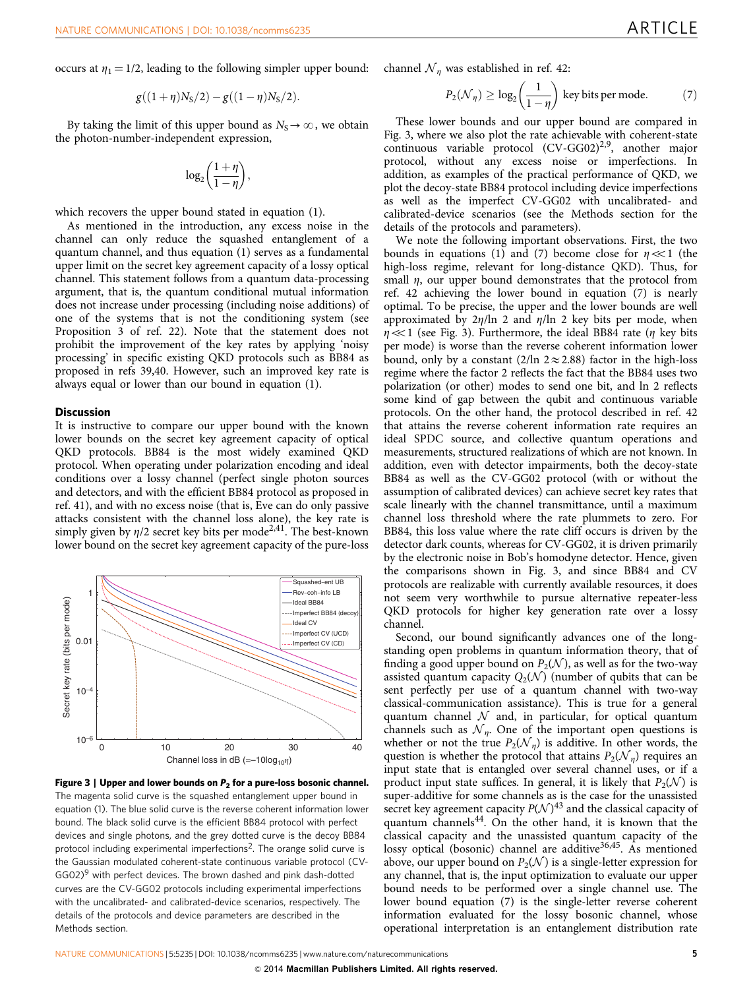<span id="page-4-0"></span>occurs at  $\eta_1 = 1/2$ , leading to the following simpler upper bound:

$$
g((1+\eta)N_S/2)-g((1-\eta)N_S/2).
$$

By taking the limit of this upper bound as  $N_s \rightarrow \infty$ , we obtain the photon-number-independent expression,

$$
\log_2\left(\frac{1+\eta}{1-\eta}\right),\
$$

which recovers the upper bound stated in equation (1).

As mentioned in the introduction, any excess noise in the channel can only reduce the squashed entanglement of a quantum channel, and thus equation (1) serves as a fundamental upper limit on the secret key agreement capacity of a lossy optical channel. This statement follows from a quantum data-processing argument, that is, the quantum conditional mutual information does not increase under processing (including noise additions) of one of the systems that is not the conditioning system (see Proposition 3 of [ref. 22](#page-6-0)). Note that the statement does not prohibit the improvement of the key rates by applying 'noisy processing' in specific existing QKD protocols such as BB84 as proposed in [refs 39,40](#page-6-0). However, such an improved key rate is always equal or lower than our bound in equation (1).

# **Discussion**

It is instructive to compare our upper bound with the known lower bounds on the secret key agreement capacity of optical QKD protocols. BB84 is the most widely examined QKD protocol. When operating under polarization encoding and ideal conditions over a lossy channel (perfect single photon sources and detectors, and with the efficient BB84 protocol as proposed in [ref. 41](#page-6-0)), and with no excess noise (that is, Eve can do only passive attacks consistent with the channel loss alone), the key rate is simply given by  $\eta/2$  secret key bits per mode<sup>[2,41](#page-5-0)</sup>. The best-known lower bound on the secret key agreement capacity of the pure-loss



Figure 3 | Upper and lower bounds on  $P_2$  for a pure-loss bosonic channel. The magenta solid curve is the squashed entanglement upper bound in equation (1). The blue solid curve is the reverse coherent information lower bound. The black solid curve is the efficient BB84 protocol with perfect devices and single photons, and the grey dotted curve is the decoy BB84 protocol including experimental imperfections<sup>2</sup>. The orange solid curve is the Gaussian modulated coherent-state continuous variable protocol (CV-GG02)<sup>[9](#page-5-0)</sup> with perfect devices. The brown dashed and pink dash-dotted curves are the CV-GG02 protocols including experimental imperfections with the uncalibrated- and calibrated-device scenarios, respectively. The details of the protocols and device parameters are described in the Methods section.

channel  $\mathcal{N}_n$  was established in [ref. 42](#page-6-0):

$$
P_2(\mathcal{N}_{\eta}) \ge \log_2\left(\frac{1}{1-\eta}\right) \text{ key bits per mode.}
$$
 (7)

These lower bounds and our upper bound are compared in Fig. 3, where we also plot the rate achievable with coherent-state continuous variable protocol  $(CV-GG02)^{2,9}$  $(CV-GG02)^{2,9}$  $(CV-GG02)^{2,9}$ , another major protocol, without any excess noise or imperfections. In addition, as examples of the practical performance of QKD, we plot the decoy-state BB84 protocol including device imperfections as well as the imperfect CV-GG02 with uncalibrated- and calibrated-device scenarios (see the Methods section for the details of the protocols and parameters).

We note the following important observations. First, the two bounds in equations (1) and (7) become close for  $\eta \ll 1$  (the high-loss regime, relevant for long-distance QKD). Thus, for small  $\eta$ , our upper bound demonstrates that the protocol from [ref. 42](#page-6-0) achieving the lower bound in equation (7) is nearly optimal. To be precise, the upper and the lower bounds are well approximated by  $2\eta/\ln 2$  and  $\eta/\ln 2$  key bits per mode, when  $\eta \ll 1$  (see Fig. 3). Furthermore, the ideal BB84 rate ( $\eta$  key bits per mode) is worse than the reverse coherent information lower bound, only by a constant (2/ln  $2 \approx 2.88$ ) factor in the high-loss regime where the factor 2 reflects the fact that the BB84 uses two polarization (or other) modes to send one bit, and ln 2 reflects some kind of gap between the qubit and continuous variable protocols. On the other hand, the protocol described in [ref. 42](#page-6-0) that attains the reverse coherent information rate requires an ideal SPDC source, and collective quantum operations and measurements, structured realizations of which are not known. In addition, even with detector impairments, both the decoy-state BB84 as well as the CV-GG02 protocol (with or without the assumption of calibrated devices) can achieve secret key rates that scale linearly with the channel transmittance, until a maximum channel loss threshold where the rate plummets to zero. For BB84, this loss value where the rate cliff occurs is driven by the detector dark counts, whereas for CV-GG02, it is driven primarily by the electronic noise in Bob's homodyne detector. Hence, given the comparisons shown in Fig. 3, and since BB84 and CV protocols are realizable with currently available resources, it does not seem very worthwhile to pursue alternative repeater-less QKD protocols for higher key generation rate over a lossy channel.

Second, our bound significantly advances one of the longstanding open problems in quantum information theory, that of finding a good upper bound on  $P_2(\mathcal{N})$ , as well as for the two-way assisted quantum capacity  $Q_2(\mathcal{N})$  (number of qubits that can be sent perfectly per use of a quantum channel with two-way classical-communication assistance). This is true for a general quantum channel  $N$  and, in particular, for optical quantum channels such as  $\mathcal{N}_n$ . One of the important open questions is whether or not the true  $P_2(\mathcal{N}_n)$  is additive. In other words, the question is whether the protocol that attains  $P_2(\mathcal{N}_\eta)$  requires an input state that is entangled over several channel uses, or if a product input state suffices. In general, it is likely that  $P_2(\mathcal{N})$  is super-additive for some channels as is the case for the unassisted secret key agreement capacity  $P(\mathcal{N})^{43}$  $P(\mathcal{N})^{43}$  $P(\mathcal{N})^{43}$  and the classical capacity of quantum channels<sup>44</sup>. On the other hand, it is known that the classical capacity and the unassisted quantum capacity of the lossy optical (bosonic) channel are additive<sup>36,45</sup>. As mentioned above, our upper bound on  $P_2(\mathcal{N})$  is a single-letter expression for any channel, that is, the input optimization to evaluate our upper bound needs to be performed over a single channel use. The lower bound equation (7) is the single-letter reverse coherent information evaluated for the lossy bosonic channel, whose operational interpretation is an entanglement distribution rate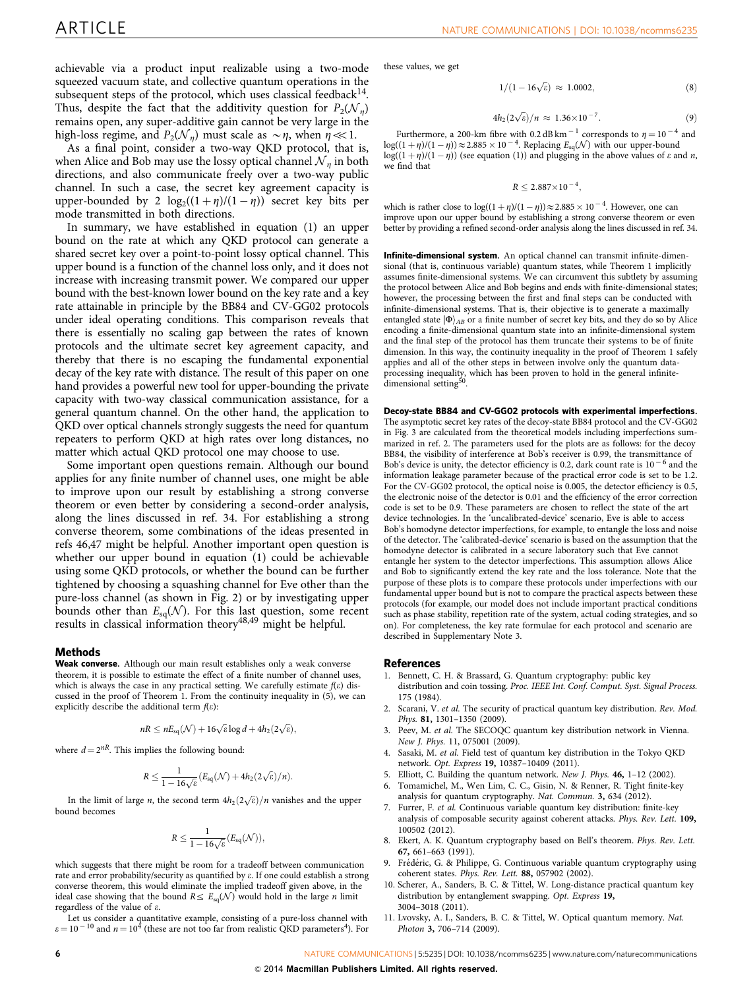<span id="page-5-0"></span>achievable via a product input realizable using a two-mode squeezed vacuum state, and collective quantum operations in the subsequent steps of the protocol, which uses classical feedback<sup>14</sup>. Thus, despite the fact that the additivity question for  $P_2(\mathcal{N}_n)$ remains open, any super-additive gain cannot be very large in the high-loss regime, and  $P_2(\mathcal{N}_n)$  must scale as  $\sim \eta$ , when  $\eta \ll 1$ .

As a final point, consider a two-way QKD protocol, that is, when Alice and Bob may use the lossy optical channel  $\mathcal{N}_n$  in both directions, and also communicate freely over a two-way public channel. In such a case, the secret key agreement capacity is upper-bounded by 2  $\log_2((1 + \eta)/(1 - \eta))$  secret key bits per mode transmitted in both directions.

In summary, we have established in equation (1) an upper bound on the rate at which any QKD protocol can generate a shared secret key over a point-to-point lossy optical channel. This upper bound is a function of the channel loss only, and it does not increase with increasing transmit power. We compared our upper bound with the best-known lower bound on the key rate and a key rate attainable in principle by the BB84 and CV-GG02 protocols under ideal operating conditions. This comparison reveals that there is essentially no scaling gap between the rates of known protocols and the ultimate secret key agreement capacity, and thereby that there is no escaping the fundamental exponential decay of the key rate with distance. The result of this paper on one hand provides a powerful new tool for upper-bounding the private capacity with two-way classical communication assistance, for a general quantum channel. On the other hand, the application to QKD over optical channels strongly suggests the need for quantum repeaters to perform QKD at high rates over long distances, no matter which actual QKD protocol one may choose to use.

Some important open questions remain. Although our bound applies for any finite number of channel uses, one might be able to improve upon our result by establishing a strong converse theorem or even better by considering a second-order analysis, along the lines discussed in [ref. 34.](#page-6-0) For establishing a strong converse theorem, some combinations of the ideas presented in [refs 46,47](#page-6-0) might be helpful. Another important open question is whether our upper bound in equation (1) could be achievable using some QKD protocols, or whether the bound can be further tightened by choosing a squashing channel for Eve other than the pure-loss channel (as shown in [Fig. 2](#page-3-0)) or by investigating upper bounds other than  $E_{sq}(\mathcal{N})$ . For this last question, some recent results in classical information theory<sup>48,49</sup> might be helpful.

#### Methods

Weak converse. Although our main result establishes only a weak converse theorem, it is possible to estimate the effect of a finite number of channel uses, which is always the case in any practical setting. We carefully estimate  $f(\varepsilon)$  discussed in the proof of Theorem 1. From the continuity inequality in (5), we can explicitly describe the additional term  $f(\varepsilon)$ :

$$
nR \leq nE_{\text{sq}}(\mathcal{N}) + 16\sqrt{\varepsilon} \log d + 4h_2(2\sqrt{\varepsilon}),
$$

where  $d = 2^{nR}$ . This implies the following bound:

$$
R \leq \frac{1}{1-16\sqrt{\epsilon}}(E_{\text{sq}}(\mathcal{N}) + 4h_2(2\sqrt{\epsilon})/n).
$$

In the limit of large *n*, the second term  $4h_2(2\sqrt{\varepsilon})/n$  vanishes and the upper bound becomes

$$
R\leq \frac{1}{1-16\sqrt{\epsilon}}(E_{\text{sq}}(\mathcal{N})),
$$

which suggests that there might be room for a tradeoff between communication rate and error probability/security as quantified by e. If one could establish a strong converse theorem, this would eliminate the implied tradeoff given above, in the ideal case showing that the bound  $R \le E_{sq}(\mathcal{N})$  would hold in the large *n* limit regardless of the value of e.

Let us consider a quantitative example, consisting of a pure-loss channel with  $\varepsilon = 10^{-10}$  and  $n = 10^4$  (these are not too far from realistic QKD parameters<sup>4</sup>). For

these values, we get

$$
1/(1-16\sqrt{\varepsilon}) \approx 1.0002,\tag{8}
$$

$$
4h_2(2\sqrt{\varepsilon})/n \approx 1.36 \times 10^{-7}.
$$
 (9)

Furthermore, a 200-km fibre with 0.2 dB km<sup>-1</sup> corresponds to  $\eta = 10^{-4}$  and  $log((1 + \eta)/(1 - \eta)) \approx 2.885 \times 10^{-4}$ . Replacing  $E_{\text{sq}}(\mathcal{N})$  with our upper-bound  $log((1 + \eta)/(1 - \eta))$  (see equation (1)) and plugging in the above values of  $\varepsilon$  and  $n$ , we find that

$$
R\leq 2.887\times10^{-4},
$$

which is rather close to  $\log((1+\eta)/(1-\eta)) \approx 2.885 \times 10^{-4}$ . However, one can improve upon our upper bound by establishing a strong converse theorem or even better by providing a refined second-order analysis along the lines discussed in [ref. 34](#page-6-0).

Infinite-dimensional system. An optical channel can transmit infinite-dimensional (that is, continuous variable) quantum states, while Theorem 1 implicitly assumes finite-dimensional systems. We can circumvent this subtlety by assuming the protocol between Alice and Bob begins and ends with finite-dimensional states; however, the processing between the first and final steps can be conducted with infinite-dimensional systems. That is, their objective is to generate a maximally entangled state  $|\Phi\rangle_{AB}$  or a finite number of secret key bits, and they do so by Alice encoding a finite-dimensional quantum state into an infinite-dimensional system and the final step of the protocol has them truncate their systems to be of finite dimension. In this way, the continuity inequality in the proof of Theorem 1 safely applies and all of the other steps in between involve only the quantum dataprocessing inequality, which has been proven to hold in the general infinite-dimensional setting<sup>[50](#page-6-0)</sup>

Decoy-state BB84 and CV-GG02 protocols with experimental imperfections. The asymptotic secret key rates of the decoy-state BB84 protocol and the CV-GG02 in [Fig. 3](#page-4-0) are calculated from the theoretical models including imperfections summarized in ref. 2. The parameters used for the plots are as follows: for the decoy BB84, the visibility of interference at Bob's receiver is 0.99, the transmittance of Bob's device is unity, the detector efficiency is 0.2, dark count rate is  $10^{-6}$  and the information leakage parameter because of the practical error code is set to be 1.2. For the CV-GG02 protocol, the optical noise is 0.005, the detector efficiency is 0.5, the electronic noise of the detector is 0.01 and the efficiency of the error correction code is set to be 0.9. These parameters are chosen to reflect the state of the art device technologies. In the 'uncalibrated-device' scenario, Eve is able to access Bob's homodyne detector imperfections, for example, to entangle the loss and noise of the detector. The 'calibrated-device' scenario is based on the assumption that the homodyne detector is calibrated in a secure laboratory such that Eve cannot entangle her system to the detector imperfections. This assumption allows Alice and Bob to significantly extend the key rate and the loss tolerance. Note that the purpose of these plots is to compare these protocols under imperfections with our fundamental upper bound but is not to compare the practical aspects between these protocols (for example, our model does not include important practical conditions such as phase stability, repetition rate of the system, actual coding strategies, and so on). For completeness, the key rate formulae for each protocol and scenario are described in Supplementary Note 3.

#### References

- 1. Bennett, C. H. & Brassard, G. Quantum cryptography: public key distribution and coin tossing. Proc. IEEE Int. Conf. Comput. Syst. Signal Process. 175 (1984).
- 2. Scarani, V. et al. The security of practical quantum key distribution. Rev. Mod. Phys. 81, 1301–1350 (2009).
- 3. Peev, M. et al. The SECOQC quantum key distribution network in Vienna. New J. Phys. 11, 075001 (2009).
- 4. Sasaki, M. et al. Field test of quantum key distribution in the Tokyo QKD network. Opt. Express 19, 10387–10409 (2011).
- 5. Elliott, C. Building the quantum network. New J. Phys. 46, 1-12 (2002).
- 6. Tomamichel, M., Wen Lim, C. C., Gisin, N. & Renner, R. Tight finite-key analysis for quantum cryptography. Nat. Commun. 3, 634 (2012).
- 7. Furrer, F. et al. Continuous variable quantum key distribution: finite-key analysis of composable security against coherent attacks. Phys. Rev. Lett. 109, 100502 (2012).
- 8. Ekert, A. K. Quantum cryptography based on Bell's theorem. Phys. Rev. Lett. 67, 661–663 (1991).
- Frédéric, G. & Philippe, G. Continuous variable quantum cryptography using coherent states. Phys. Rev. Lett. 88, 057902 (2002).
- 10. Scherer, A., Sanders, B. C. & Tittel, W. Long-distance practical quantum key distribution by entanglement swapping. Opt. Express 19, 3004–3018 (2011).
- 11. Lvovsky, A. I., Sanders, B. C. & Tittel, W. Optical quantum memory. Nat. Photon 3, 706–714 (2009).